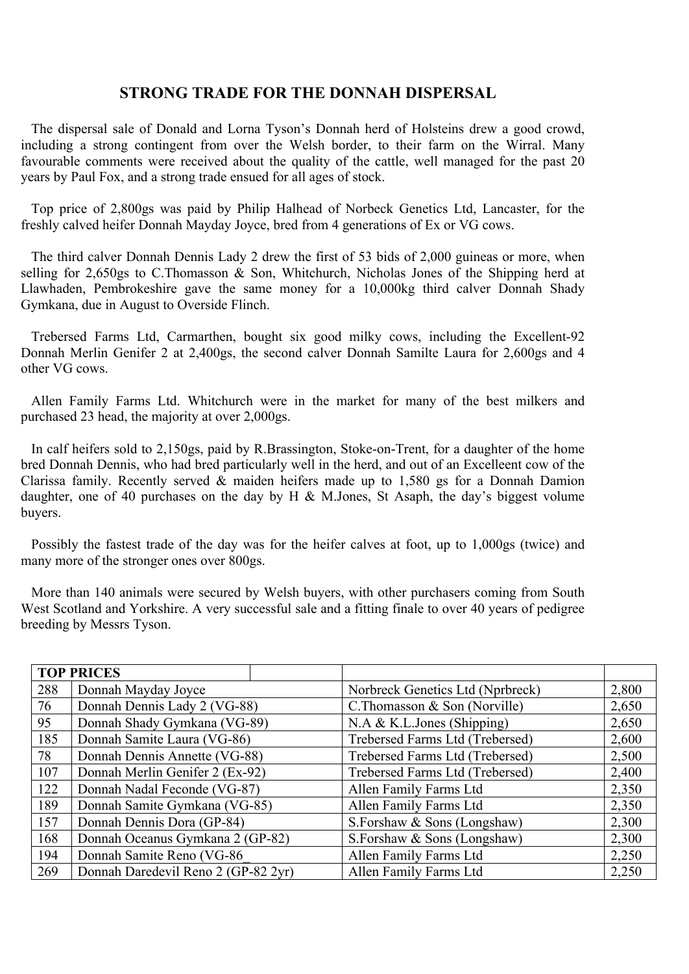## **STRONG TRADE FOR THE DONNAH DISPERSAL**

The dispersal sale of Donald and Lorna Tyson's Donnah herd of Holsteins drew a good crowd, including a strong contingent from over the Welsh border, to their farm on the Wirral. Many favourable comments were received about the quality of the cattle, well managed for the past 20 years by Paul Fox, and a strong trade ensued for all ages of stock.

Top price of 2,800gs was paid by Philip Halhead of Norbeck Genetics Ltd, Lancaster, for the freshly calved heifer Donnah Mayday Joyce, bred from 4 generations of Ex or VG cows.

The third calver Donnah Dennis Lady 2 drew the first of 53 bids of 2,000 guineas or more, when selling for 2,650gs to C.Thomasson  $\&$  Son, Whitchurch, Nicholas Jones of the Shipping herd at Llawhaden, Pembrokeshire gave the same money for a 10,000kg third calver Donnah Shady Gymkana, due in August to Overside Flinch.

Trebersed Farms Ltd, Carmarthen, bought six good milky cows, including the Excellent-92 Donnah Merlin Genifer 2 at 2,400gs, the second calver Donnah Samilte Laura for 2,600gs and 4 other VG cows.

Allen Family Farms Ltd. Whitchurch were in the market for many of the best milkers and purchased 23 head, the majority at over 2,000gs.

In calf heifers sold to 2,150gs, paid by R.Brassington, Stoke-on-Trent, for a daughter of the home bred Donnah Dennis, who had bred particularly well in the herd, and out of an Excelleent cow of the Clarissa family. Recently served  $\&$  maiden heifers made up to 1,580 gs for a Donnah Damion daughter, one of 40 purchases on the day by H & M.Jones, St Asaph, the day's biggest volume buyers.

Possibly the fastest trade of the day was for the heifer calves at foot, up to 1,000gs (twice) and many more of the stronger ones over 800gs.

More than 140 animals were secured by Welsh buyers, with other purchasers coming from South West Scotland and Yorkshire. A very successful sale and a fitting finale to over 40 years of pedigree breeding by Messrs Tyson.

|     | <b>TOP PRICES</b>                   |  |                                  |       |
|-----|-------------------------------------|--|----------------------------------|-------|
| 288 | Donnah Mayday Joyce                 |  | Norbreck Genetics Ltd (Nprbreck) | 2,800 |
| 76  | Donnah Dennis Lady 2 (VG-88)        |  | C. Thomasson $&$ Son (Norville)  | 2,650 |
| 95  | Donnah Shady Gymkana (VG-89)        |  | N.A & K.L.Jones (Shipping)       | 2,650 |
| 185 | Donnah Samite Laura (VG-86)         |  | Trebersed Farms Ltd (Trebersed)  | 2,600 |
| 78  | Donnah Dennis Annette (VG-88)       |  | Trebersed Farms Ltd (Trebersed)  | 2,500 |
| 107 | Donnah Merlin Genifer 2 (Ex-92)     |  | Trebersed Farms Ltd (Trebersed)  | 2,400 |
| 122 | Donnah Nadal Feconde (VG-87)        |  | Allen Family Farms Ltd           | 2,350 |
| 189 | Donnah Samite Gymkana (VG-85)       |  | Allen Family Farms Ltd           | 2,350 |
| 157 | Donnah Dennis Dora (GP-84)          |  | S.Forshaw & Sons (Longshaw)      | 2,300 |
| 168 | Donnah Oceanus Gymkana 2 (GP-82)    |  | S.Forshaw & Sons (Longshaw)      | 2,300 |
| 194 | Donnah Samite Reno (VG-86           |  | Allen Family Farms Ltd           | 2,250 |
| 269 | Donnah Daredevil Reno 2 (GP-82 2yr) |  | Allen Family Farms Ltd           | 2,250 |